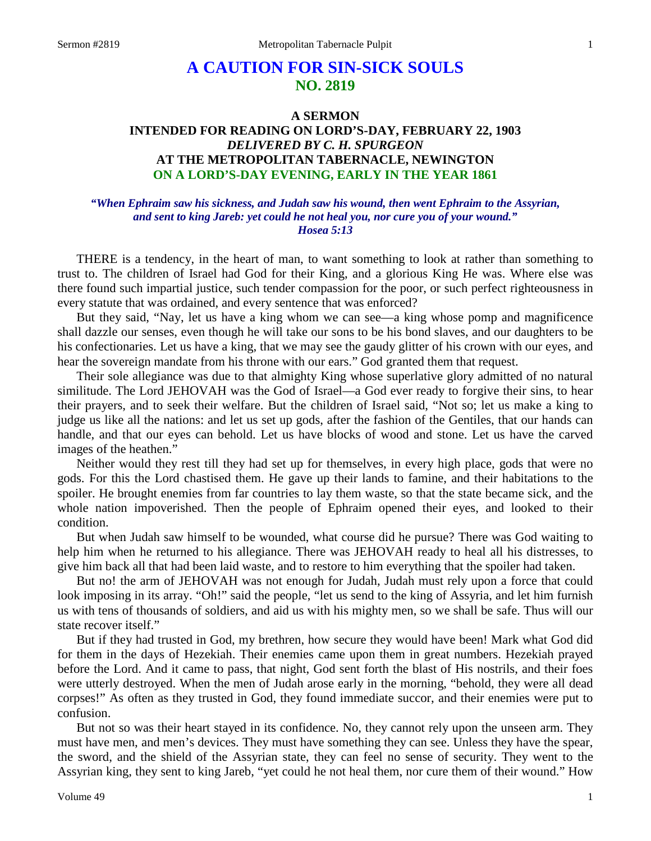# **A CAUTION FOR SIN-SICK SOULS NO. 2819**

## **A SERMON INTENDED FOR READING ON LORD'S-DAY, FEBRUARY 22, 1903** *DELIVERED BY C. H. SPURGEON* **AT THE METROPOLITAN TABERNACLE, NEWINGTON ON A LORD'S-DAY EVENING, EARLY IN THE YEAR 1861**

### *"When Ephraim saw his sickness, and Judah saw his wound, then went Ephraim to the Assyrian, and sent to king Jareb: yet could he not heal you, nor cure you of your wound." Hosea 5:13*

THERE is a tendency, in the heart of man, to want something to look at rather than something to trust to. The children of Israel had God for their King, and a glorious King He was. Where else was there found such impartial justice, such tender compassion for the poor, or such perfect righteousness in every statute that was ordained, and every sentence that was enforced?

But they said, "Nay, let us have a king whom we can see—a king whose pomp and magnificence shall dazzle our senses, even though he will take our sons to be his bond slaves, and our daughters to be his confectionaries. Let us have a king, that we may see the gaudy glitter of his crown with our eyes, and hear the sovereign mandate from his throne with our ears." God granted them that request.

Their sole allegiance was due to that almighty King whose superlative glory admitted of no natural similitude. The Lord JEHOVAH was the God of Israel—a God ever ready to forgive their sins, to hear their prayers, and to seek their welfare. But the children of Israel said, "Not so; let us make a king to judge us like all the nations: and let us set up gods, after the fashion of the Gentiles, that our hands can handle, and that our eyes can behold. Let us have blocks of wood and stone. Let us have the carved images of the heathen."

Neither would they rest till they had set up for themselves, in every high place, gods that were no gods. For this the Lord chastised them. He gave up their lands to famine, and their habitations to the spoiler. He brought enemies from far countries to lay them waste, so that the state became sick, and the whole nation impoverished. Then the people of Ephraim opened their eyes, and looked to their condition.

But when Judah saw himself to be wounded, what course did he pursue? There was God waiting to help him when he returned to his allegiance. There was JEHOVAH ready to heal all his distresses, to give him back all that had been laid waste, and to restore to him everything that the spoiler had taken.

But no! the arm of JEHOVAH was not enough for Judah, Judah must rely upon a force that could look imposing in its array. "Oh!" said the people, "let us send to the king of Assyria, and let him furnish us with tens of thousands of soldiers, and aid us with his mighty men, so we shall be safe. Thus will our state recover itself."

But if they had trusted in God, my brethren, how secure they would have been! Mark what God did for them in the days of Hezekiah. Their enemies came upon them in great numbers. Hezekiah prayed before the Lord. And it came to pass, that night, God sent forth the blast of His nostrils, and their foes were utterly destroyed. When the men of Judah arose early in the morning, "behold, they were all dead corpses!" As often as they trusted in God, they found immediate succor, and their enemies were put to confusion.

But not so was their heart stayed in its confidence. No, they cannot rely upon the unseen arm. They must have men, and men's devices. They must have something they can see. Unless they have the spear, the sword, and the shield of the Assyrian state, they can feel no sense of security. They went to the Assyrian king, they sent to king Jareb, "yet could he not heal them, nor cure them of their wound." How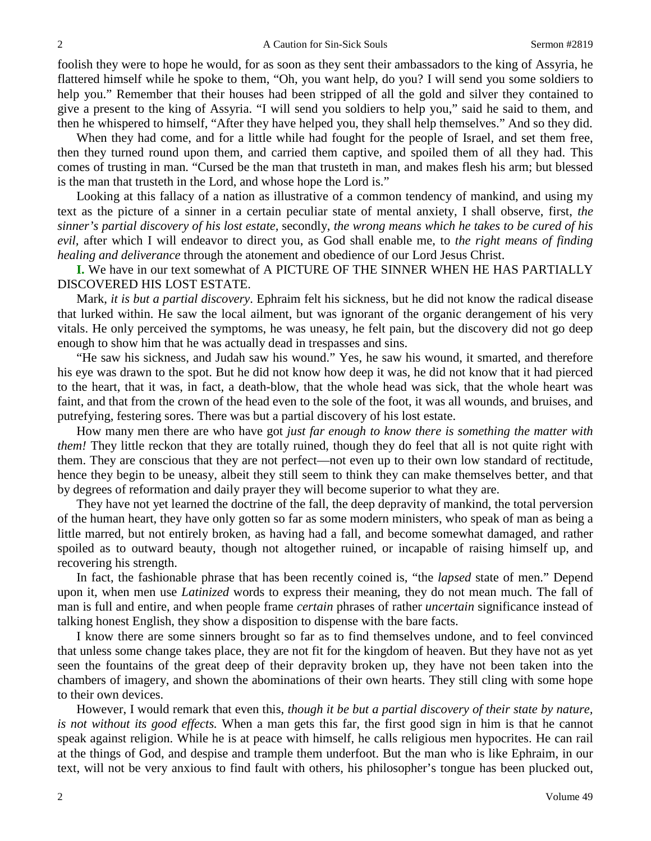foolish they were to hope he would, for as soon as they sent their ambassadors to the king of Assyria, he flattered himself while he spoke to them, "Oh, you want help, do you? I will send you some soldiers to help you." Remember that their houses had been stripped of all the gold and silver they contained to give a present to the king of Assyria. "I will send you soldiers to help you," said he said to them, and then he whispered to himself, "After they have helped you, they shall help themselves." And so they did.

When they had come, and for a little while had fought for the people of Israel, and set them free, then they turned round upon them, and carried them captive, and spoiled them of all they had. This comes of trusting in man. "Cursed be the man that trusteth in man, and makes flesh his arm; but blessed is the man that trusteth in the Lord, and whose hope the Lord is."

Looking at this fallacy of a nation as illustrative of a common tendency of mankind, and using my text as the picture of a sinner in a certain peculiar state of mental anxiety, I shall observe, first, *the sinner's partial discovery of his lost estate,* secondly, *the wrong means which he takes to be cured of his evil,* after which I will endeavor to direct you, as God shall enable me, to *the right means of finding healing and deliverance* through the atonement and obedience of our Lord Jesus Christ.

**I.** We have in our text somewhat of A PICTURE OF THE SINNER WHEN HE HAS PARTIALLY DISCOVERED HIS LOST ESTATE.

Mark, *it is but a partial discovery*. Ephraim felt his sickness, but he did not know the radical disease that lurked within. He saw the local ailment, but was ignorant of the organic derangement of his very vitals. He only perceived the symptoms, he was uneasy, he felt pain, but the discovery did not go deep enough to show him that he was actually dead in trespasses and sins.

"He saw his sickness, and Judah saw his wound." Yes, he saw his wound, it smarted, and therefore his eye was drawn to the spot. But he did not know how deep it was, he did not know that it had pierced to the heart, that it was, in fact, a death-blow, that the whole head was sick, that the whole heart was faint, and that from the crown of the head even to the sole of the foot, it was all wounds, and bruises, and putrefying, festering sores. There was but a partial discovery of his lost estate.

How many men there are who have got *just far enough to know there is something the matter with them!* They little reckon that they are totally ruined, though they do feel that all is not quite right with them. They are conscious that they are not perfect—not even up to their own low standard of rectitude, hence they begin to be uneasy, albeit they still seem to think they can make themselves better, and that by degrees of reformation and daily prayer they will become superior to what they are.

They have not yet learned the doctrine of the fall, the deep depravity of mankind, the total perversion of the human heart, they have only gotten so far as some modern ministers, who speak of man as being a little marred, but not entirely broken, as having had a fall, and become somewhat damaged, and rather spoiled as to outward beauty, though not altogether ruined, or incapable of raising himself up, and recovering his strength.

In fact, the fashionable phrase that has been recently coined is, "the *lapsed* state of men." Depend upon it, when men use *Latinized* words to express their meaning, they do not mean much. The fall of man is full and entire, and when people frame *certain* phrases of rather *uncertain* significance instead of talking honest English, they show a disposition to dispense with the bare facts.

I know there are some sinners brought so far as to find themselves undone, and to feel convinced that unless some change takes place, they are not fit for the kingdom of heaven. But they have not as yet seen the fountains of the great deep of their depravity broken up, they have not been taken into the chambers of imagery, and shown the abominations of their own hearts. They still cling with some hope to their own devices.

However, I would remark that even this, *though it be but a partial discovery of their state by nature, is not without its good effects.* When a man gets this far, the first good sign in him is that he cannot speak against religion. While he is at peace with himself, he calls religious men hypocrites. He can rail at the things of God, and despise and trample them underfoot. But the man who is like Ephraim, in our text, will not be very anxious to find fault with others, his philosopher's tongue has been plucked out,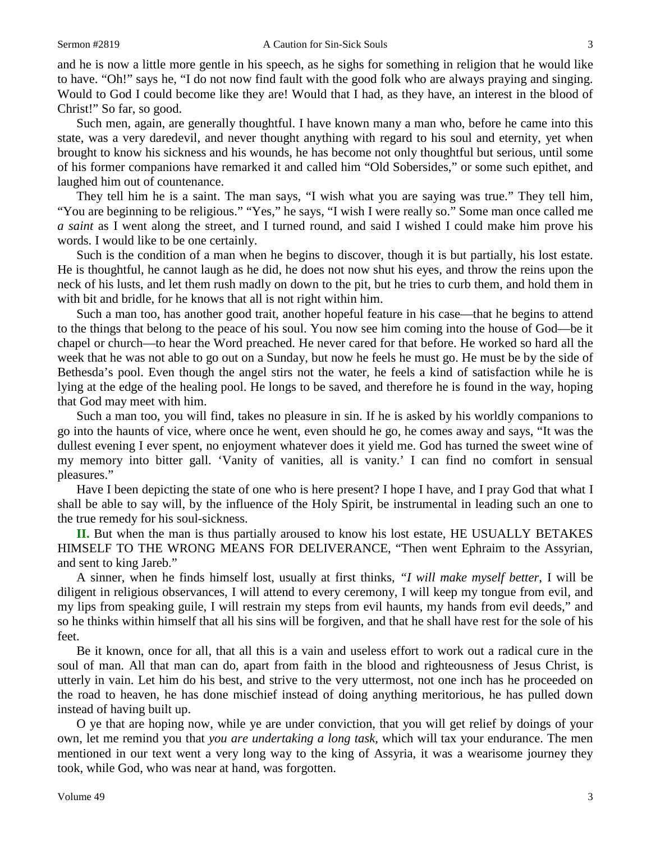and he is now a little more gentle in his speech, as he sighs for something in religion that he would like to have. "Oh!" says he, "I do not now find fault with the good folk who are always praying and singing. Would to God I could become like they are! Would that I had, as they have, an interest in the blood of Christ!" So far, so good.

Such men, again, are generally thoughtful. I have known many a man who, before he came into this state, was a very daredevil, and never thought anything with regard to his soul and eternity, yet when brought to know his sickness and his wounds, he has become not only thoughtful but serious, until some of his former companions have remarked it and called him "Old Sobersides," or some such epithet, and laughed him out of countenance.

They tell him he is a saint. The man says, "I wish what you are saying was true." They tell him, "You are beginning to be religious." "Yes," he says, "I wish I were really so." Some man once called me *a saint* as I went along the street, and I turned round, and said I wished I could make him prove his words. I would like to be one certainly.

Such is the condition of a man when he begins to discover, though it is but partially, his lost estate. He is thoughtful, he cannot laugh as he did, he does not now shut his eyes, and throw the reins upon the neck of his lusts, and let them rush madly on down to the pit, but he tries to curb them, and hold them in with bit and bridle, for he knows that all is not right within him.

Such a man too, has another good trait, another hopeful feature in his case—that he begins to attend to the things that belong to the peace of his soul. You now see him coming into the house of God—be it chapel or church—to hear the Word preached. He never cared for that before. He worked so hard all the week that he was not able to go out on a Sunday, but now he feels he must go. He must be by the side of Bethesda's pool. Even though the angel stirs not the water, he feels a kind of satisfaction while he is lying at the edge of the healing pool. He longs to be saved, and therefore he is found in the way, hoping that God may meet with him.

Such a man too, you will find, takes no pleasure in sin. If he is asked by his worldly companions to go into the haunts of vice, where once he went, even should he go, he comes away and says, "It was the dullest evening I ever spent, no enjoyment whatever does it yield me. God has turned the sweet wine of my memory into bitter gall. 'Vanity of vanities, all is vanity.' I can find no comfort in sensual pleasures."

Have I been depicting the state of one who is here present? I hope I have, and I pray God that what I shall be able to say will, by the influence of the Holy Spirit, be instrumental in leading such an one to the true remedy for his soul-sickness.

**II.** But when the man is thus partially aroused to know his lost estate, HE USUALLY BETAKES HIMSELF TO THE WRONG MEANS FOR DELIVERANCE, "Then went Ephraim to the Assyrian, and sent to king Jareb."

A sinner, when he finds himself lost, usually at first thinks, *"I will make myself better,* I will be diligent in religious observances, I will attend to every ceremony, I will keep my tongue from evil, and my lips from speaking guile, I will restrain my steps from evil haunts, my hands from evil deeds," and so he thinks within himself that all his sins will be forgiven, and that he shall have rest for the sole of his feet.

Be it known, once for all, that all this is a vain and useless effort to work out a radical cure in the soul of man. All that man can do, apart from faith in the blood and righteousness of Jesus Christ, is utterly in vain. Let him do his best, and strive to the very uttermost, not one inch has he proceeded on the road to heaven, he has done mischief instead of doing anything meritorious, he has pulled down instead of having built up.

O ye that are hoping now, while ye are under conviction, that you will get relief by doings of your own, let me remind you that *you are undertaking a long task,* which will tax your endurance. The men mentioned in our text went a very long way to the king of Assyria, it was a wearisome journey they took, while God, who was near at hand, was forgotten.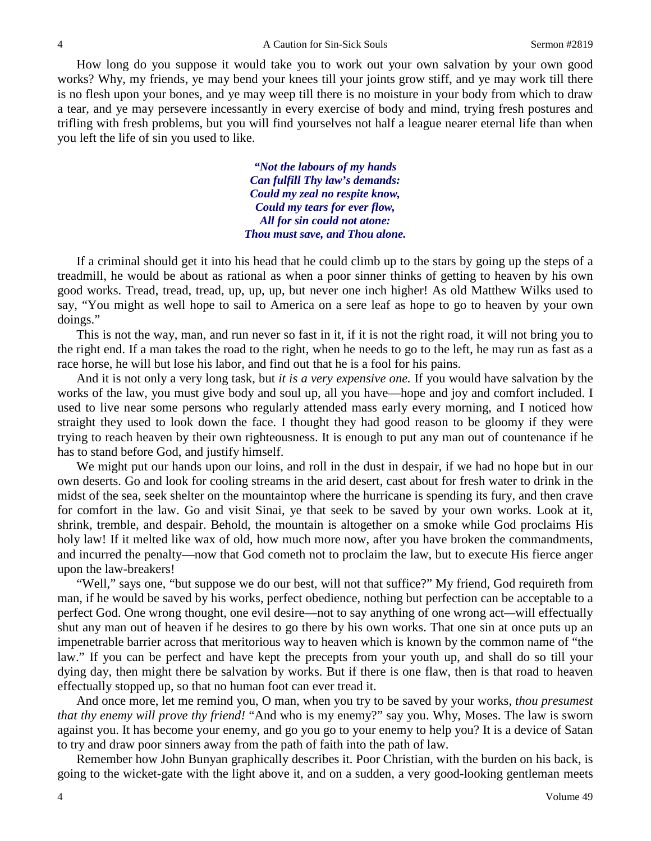How long do you suppose it would take you to work out your own salvation by your own good works? Why, my friends, ye may bend your knees till your joints grow stiff, and ye may work till there is no flesh upon your bones, and ye may weep till there is no moisture in your body from which to draw a tear, and ye may persevere incessantly in every exercise of body and mind, trying fresh postures and trifling with fresh problems, but you will find yourselves not half a league nearer eternal life than when you left the life of sin you used to like.

> *"Not the labours of my hands Can fulfill Thy law's demands: Could my zeal no respite know, Could my tears for ever flow, All for sin could not atone: Thou must save, and Thou alone.*

If a criminal should get it into his head that he could climb up to the stars by going up the steps of a treadmill, he would be about as rational as when a poor sinner thinks of getting to heaven by his own good works. Tread, tread, tread, up, up, up, but never one inch higher! As old Matthew Wilks used to say, "You might as well hope to sail to America on a sere leaf as hope to go to heaven by your own doings."

This is not the way, man, and run never so fast in it, if it is not the right road, it will not bring you to the right end. If a man takes the road to the right, when he needs to go to the left, he may run as fast as a race horse, he will but lose his labor, and find out that he is a fool for his pains.

And it is not only a very long task, but *it is a very expensive one.* If you would have salvation by the works of the law, you must give body and soul up, all you have—hope and joy and comfort included. I used to live near some persons who regularly attended mass early every morning, and I noticed how straight they used to look down the face. I thought they had good reason to be gloomy if they were trying to reach heaven by their own righteousness. It is enough to put any man out of countenance if he has to stand before God, and justify himself.

We might put our hands upon our loins, and roll in the dust in despair, if we had no hope but in our own deserts. Go and look for cooling streams in the arid desert, cast about for fresh water to drink in the midst of the sea, seek shelter on the mountaintop where the hurricane is spending its fury, and then crave for comfort in the law. Go and visit Sinai, ye that seek to be saved by your own works. Look at it, shrink, tremble, and despair. Behold, the mountain is altogether on a smoke while God proclaims His holy law! If it melted like wax of old, how much more now, after you have broken the commandments, and incurred the penalty—now that God cometh not to proclaim the law, but to execute His fierce anger upon the law-breakers!

"Well," says one, "but suppose we do our best, will not that suffice?" My friend, God requireth from man, if he would be saved by his works, perfect obedience, nothing but perfection can be acceptable to a perfect God. One wrong thought, one evil desire—not to say anything of one wrong act*—*will effectually shut any man out of heaven if he desires to go there by his own works. That one sin at once puts up an impenetrable barrier across that meritorious way to heaven which is known by the common name of "the law." If you can be perfect and have kept the precepts from your youth up, and shall do so till your dying day, then might there be salvation by works. But if there is one flaw, then is that road to heaven effectually stopped up, so that no human foot can ever tread it.

And once more, let me remind you, O man, when you try to be saved by your works, *thou presumest that thy enemy will prove thy friend!* "And who is my enemy?" say you. Why, Moses. The law is sworn against you. It has become your enemy, and go you go to your enemy to help you? It is a device of Satan to try and draw poor sinners away from the path of faith into the path of law.

Remember how John Bunyan graphically describes it. Poor Christian, with the burden on his back, is going to the wicket-gate with the light above it, and on a sudden, a very good-looking gentleman meets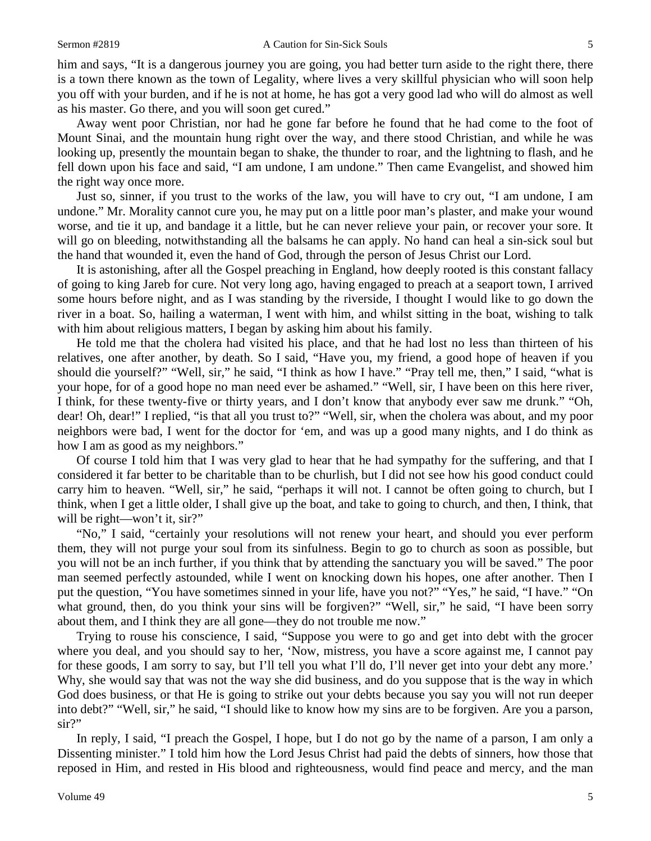him and says, "It is a dangerous journey you are going, you had better turn aside to the right there, there is a town there known as the town of Legality, where lives a very skillful physician who will soon help you off with your burden, and if he is not at home, he has got a very good lad who will do almost as well as his master. Go there, and you will soon get cured."

Away went poor Christian, nor had he gone far before he found that he had come to the foot of Mount Sinai, and the mountain hung right over the way, and there stood Christian, and while he was looking up, presently the mountain began to shake, the thunder to roar, and the lightning to flash, and he fell down upon his face and said, "I am undone, I am undone." Then came Evangelist, and showed him the right way once more.

Just so, sinner, if you trust to the works of the law, you will have to cry out, "I am undone, I am undone." Mr. Morality cannot cure you, he may put on a little poor man's plaster, and make your wound worse, and tie it up, and bandage it a little, but he can never relieve your pain, or recover your sore. It will go on bleeding, notwithstanding all the balsams he can apply. No hand can heal a sin-sick soul but the hand that wounded it, even the hand of God, through the person of Jesus Christ our Lord.

It is astonishing, after all the Gospel preaching in England, how deeply rooted is this constant fallacy of going to king Jareb for cure. Not very long ago, having engaged to preach at a seaport town, I arrived some hours before night, and as I was standing by the riverside, I thought I would like to go down the river in a boat. So, hailing a waterman, I went with him, and whilst sitting in the boat, wishing to talk with him about religious matters, I began by asking him about his family.

He told me that the cholera had visited his place, and that he had lost no less than thirteen of his relatives, one after another, by death. So I said, "Have you, my friend, a good hope of heaven if you should die yourself?" "Well, sir," he said, "I think as how I have." "Pray tell me, then," I said, "what is your hope, for of a good hope no man need ever be ashamed." "Well, sir, I have been on this here river, I think, for these twenty-five or thirty years, and I don't know that anybody ever saw me drunk." "Oh, dear! Oh, dear!" I replied, "is that all you trust to?" "Well, sir, when the cholera was about, and my poor neighbors were bad, I went for the doctor for 'em, and was up a good many nights, and I do think as how I am as good as my neighbors."

Of course I told him that I was very glad to hear that he had sympathy for the suffering, and that I considered it far better to be charitable than to be churlish, but I did not see how his good conduct could carry him to heaven. "Well, sir," he said, "perhaps it will not. I cannot be often going to church, but I think, when I get a little older, I shall give up the boat, and take to going to church, and then, I think, that will be right—won't it, sir?"

"No," I said, "certainly your resolutions will not renew your heart, and should you ever perform them, they will not purge your soul from its sinfulness. Begin to go to church as soon as possible, but you will not be an inch further, if you think that by attending the sanctuary you will be saved." The poor man seemed perfectly astounded, while I went on knocking down his hopes, one after another. Then I put the question, "You have sometimes sinned in your life, have you not?" "Yes," he said, "I have." "On what ground, then, do you think your sins will be forgiven?" "Well, sir," he said, "I have been sorry about them, and I think they are all gone—they do not trouble me now."

Trying to rouse his conscience, I said, "Suppose you were to go and get into debt with the grocer where you deal, and you should say to her, 'Now, mistress, you have a score against me, I cannot pay for these goods, I am sorry to say, but I'll tell you what I'll do, I'll never get into your debt any more.' Why, she would say that was not the way she did business, and do you suppose that is the way in which God does business, or that He is going to strike out your debts because you say you will not run deeper into debt?" "Well, sir," he said, "I should like to know how my sins are to be forgiven. Are you a parson, sir?"

In reply, I said, "I preach the Gospel, I hope, but I do not go by the name of a parson, I am only a Dissenting minister." I told him how the Lord Jesus Christ had paid the debts of sinners, how those that reposed in Him, and rested in His blood and righteousness, would find peace and mercy, and the man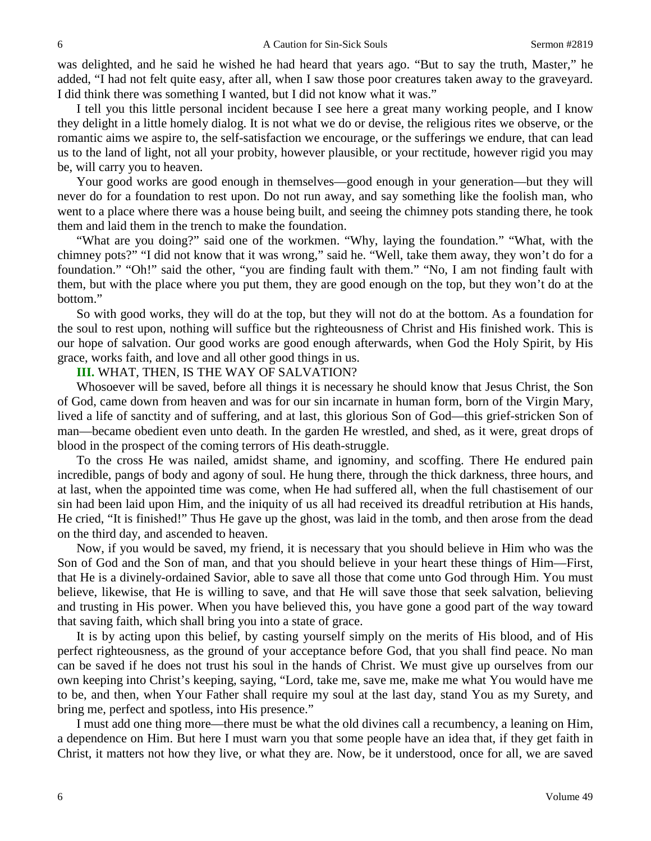was delighted, and he said he wished he had heard that years ago. "But to say the truth, Master," he added, "I had not felt quite easy, after all, when I saw those poor creatures taken away to the graveyard. I did think there was something I wanted, but I did not know what it was."

I tell you this little personal incident because I see here a great many working people, and I know they delight in a little homely dialog. It is not what we do or devise, the religious rites we observe, or the romantic aims we aspire to, the self-satisfaction we encourage, or the sufferings we endure, that can lead us to the land of light, not all your probity, however plausible, or your rectitude, however rigid you may be, will carry you to heaven.

Your good works are good enough in themselves—good enough in your generation—but they will never do for a foundation to rest upon. Do not run away, and say something like the foolish man, who went to a place where there was a house being built, and seeing the chimney pots standing there, he took them and laid them in the trench to make the foundation.

"What are you doing?" said one of the workmen. "Why, laying the foundation." "What, with the chimney pots?" "I did not know that it was wrong," said he. "Well, take them away, they won't do for a foundation." "Oh!" said the other, "you are finding fault with them." "No, I am not finding fault with them, but with the place where you put them, they are good enough on the top, but they won't do at the bottom."

So with good works, they will do at the top, but they will not do at the bottom. As a foundation for the soul to rest upon, nothing will suffice but the righteousness of Christ and His finished work. This is our hope of salvation. Our good works are good enough afterwards, when God the Holy Spirit, by His grace, works faith, and love and all other good things in us.

**III.** WHAT, THEN, IS THE WAY OF SALVATION?

Whosoever will be saved, before all things it is necessary he should know that Jesus Christ, the Son of God, came down from heaven and was for our sin incarnate in human form, born of the Virgin Mary, lived a life of sanctity and of suffering, and at last, this glorious Son of God—this grief-stricken Son of man—became obedient even unto death. In the garden He wrestled, and shed, as it were, great drops of blood in the prospect of the coming terrors of His death-struggle.

To the cross He was nailed, amidst shame, and ignominy, and scoffing. There He endured pain incredible, pangs of body and agony of soul. He hung there, through the thick darkness, three hours, and at last, when the appointed time was come, when He had suffered all, when the full chastisement of our sin had been laid upon Him, and the iniquity of us all had received its dreadful retribution at His hands, He cried, "It is finished!" Thus He gave up the ghost, was laid in the tomb, and then arose from the dead on the third day, and ascended to heaven.

Now, if you would be saved, my friend, it is necessary that you should believe in Him who was the Son of God and the Son of man, and that you should believe in your heart these things of Him—First, that He is a divinely-ordained Savior, able to save all those that come unto God through Him. You must believe, likewise, that He is willing to save, and that He will save those that seek salvation, believing and trusting in His power. When you have believed this, you have gone a good part of the way toward that saving faith, which shall bring you into a state of grace.

It is by acting upon this belief, by casting yourself simply on the merits of His blood, and of His perfect righteousness, as the ground of your acceptance before God, that you shall find peace. No man can be saved if he does not trust his soul in the hands of Christ. We must give up ourselves from our own keeping into Christ's keeping, saying, "Lord, take me, save me, make me what You would have me to be, and then, when Your Father shall require my soul at the last day, stand You as my Surety, and bring me, perfect and spotless, into His presence."

I must add one thing more—there must be what the old divines call a recumbency, a leaning on Him, a dependence on Him. But here I must warn you that some people have an idea that, if they get faith in Christ, it matters not how they live, or what they are. Now, be it understood, once for all, we are saved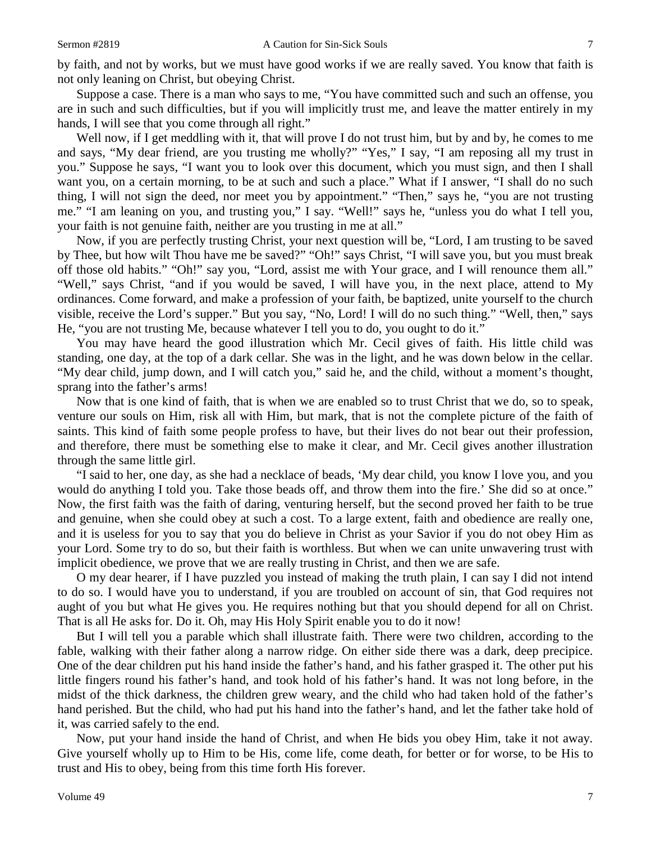by faith, and not by works, but we must have good works if we are really saved. You know that faith is not only leaning on Christ, but obeying Christ.

Suppose a case. There is a man who says to me, "You have committed such and such an offense, you are in such and such difficulties, but if you will implicitly trust me, and leave the matter entirely in my hands, I will see that you come through all right."

Well now, if I get meddling with it, that will prove I do not trust him, but by and by, he comes to me and says, "My dear friend, are you trusting me wholly?" "Yes," I say, "I am reposing all my trust in you." Suppose he says, "I want you to look over this document, which you must sign, and then I shall want you, on a certain morning, to be at such and such a place." What if I answer, "I shall do no such thing, I will not sign the deed, nor meet you by appointment." "Then," says he, "you are not trusting me." "I am leaning on you, and trusting you," I say. "Well!" says he, "unless you do what I tell you, your faith is not genuine faith, neither are you trusting in me at all."

Now, if you are perfectly trusting Christ, your next question will be, "Lord, I am trusting to be saved by Thee, but how wilt Thou have me be saved?" "Oh!" says Christ, "I will save you, but you must break off those old habits." "Oh!" say you, "Lord, assist me with Your grace, and I will renounce them all." "Well," says Christ, "and if you would be saved, I will have you, in the next place, attend to My ordinances. Come forward, and make a profession of your faith, be baptized, unite yourself to the church visible, receive the Lord's supper." But you say, "No, Lord! I will do no such thing." "Well, then," says He, "you are not trusting Me, because whatever I tell you to do, you ought to do it."

You may have heard the good illustration which Mr. Cecil gives of faith. His little child was standing, one day, at the top of a dark cellar. She was in the light, and he was down below in the cellar. "My dear child, jump down, and I will catch you," said he, and the child, without a moment's thought, sprang into the father's arms!

Now that is one kind of faith, that is when we are enabled so to trust Christ that we do, so to speak, venture our souls on Him, risk all with Him, but mark, that is not the complete picture of the faith of saints. This kind of faith some people profess to have, but their lives do not bear out their profession, and therefore, there must be something else to make it clear, and Mr. Cecil gives another illustration through the same little girl.

"I said to her, one day, as she had a necklace of beads, 'My dear child, you know I love you, and you would do anything I told you. Take those beads off, and throw them into the fire.' She did so at once." Now, the first faith was the faith of daring, venturing herself, but the second proved her faith to be true and genuine, when she could obey at such a cost. To a large extent, faith and obedience are really one, and it is useless for you to say that you do believe in Christ as your Savior if you do not obey Him as your Lord. Some try to do so, but their faith is worthless. But when we can unite unwavering trust with implicit obedience, we prove that we are really trusting in Christ, and then we are safe.

O my dear hearer, if I have puzzled you instead of making the truth plain, I can say I did not intend to do so. I would have you to understand, if you are troubled on account of sin, that God requires not aught of you but what He gives you. He requires nothing but that you should depend for all on Christ. That is all He asks for. Do it. Oh, may His Holy Spirit enable you to do it now!

But I will tell you a parable which shall illustrate faith. There were two children, according to the fable, walking with their father along a narrow ridge. On either side there was a dark, deep precipice. One of the dear children put his hand inside the father's hand, and his father grasped it. The other put his little fingers round his father's hand, and took hold of his father's hand. It was not long before, in the midst of the thick darkness, the children grew weary, and the child who had taken hold of the father's hand perished. But the child, who had put his hand into the father's hand, and let the father take hold of it, was carried safely to the end.

Now, put your hand inside the hand of Christ, and when He bids you obey Him, take it not away. Give yourself wholly up to Him to be His, come life, come death, for better or for worse, to be His to trust and His to obey, being from this time forth His forever.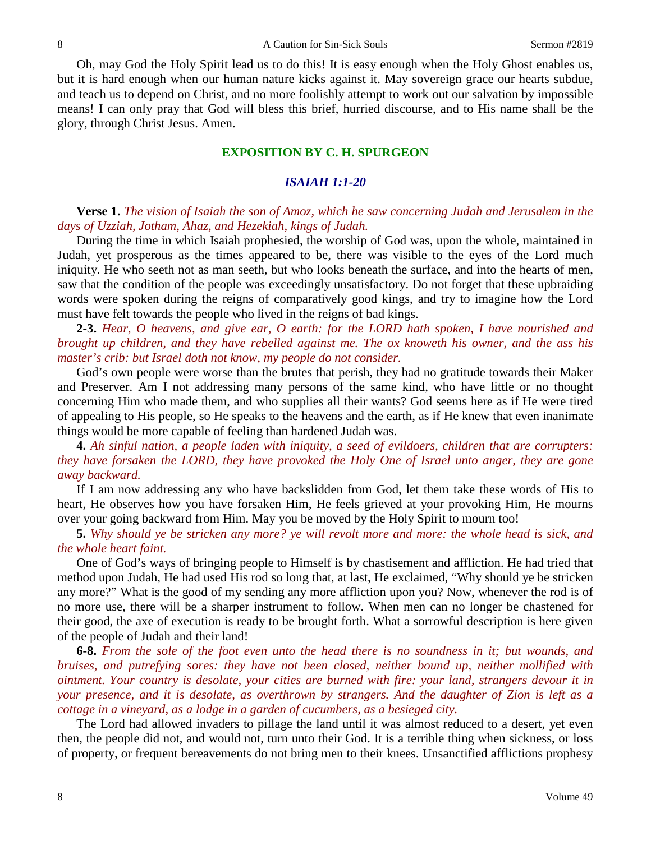Oh, may God the Holy Spirit lead us to do this! It is easy enough when the Holy Ghost enables us, but it is hard enough when our human nature kicks against it. May sovereign grace our hearts subdue, and teach us to depend on Christ, and no more foolishly attempt to work out our salvation by impossible means! I can only pray that God will bless this brief, hurried discourse, and to His name shall be the glory, through Christ Jesus. Amen.

### **EXPOSITION BY C. H. SPURGEON**

### *ISAIAH 1:1-20*

### **Verse 1.** *The vision of Isaiah the son of Amoz, which he saw concerning Judah and Jerusalem in the days of Uzziah, Jotham, Ahaz, and Hezekiah, kings of Judah.*

During the time in which Isaiah prophesied, the worship of God was, upon the whole, maintained in Judah, yet prosperous as the times appeared to be, there was visible to the eyes of the Lord much iniquity. He who seeth not as man seeth, but who looks beneath the surface, and into the hearts of men, saw that the condition of the people was exceedingly unsatisfactory. Do not forget that these upbraiding words were spoken during the reigns of comparatively good kings, and try to imagine how the Lord must have felt towards the people who lived in the reigns of bad kings.

**2-3.** *Hear, O heavens, and give ear, O earth: for the LORD hath spoken, I have nourished and brought up children, and they have rebelled against me. The ox knoweth his owner, and the ass his master's crib: but Israel doth not know, my people do not consider.*

God's own people were worse than the brutes that perish, they had no gratitude towards their Maker and Preserver. Am I not addressing many persons of the same kind, who have little or no thought concerning Him who made them, and who supplies all their wants? God seems here as if He were tired of appealing to His people, so He speaks to the heavens and the earth, as if He knew that even inanimate things would be more capable of feeling than hardened Judah was.

**4.** *Ah sinful nation, a people laden with iniquity, a seed of evildoers, children that are corrupters: they have forsaken the LORD, they have provoked the Holy One of Israel unto anger, they are gone away backward.*

If I am now addressing any who have backslidden from God, let them take these words of His to heart, He observes how you have forsaken Him, He feels grieved at your provoking Him, He mourns over your going backward from Him. May you be moved by the Holy Spirit to mourn too!

**5.** *Why should ye be stricken any more? ye will revolt more and more: the whole head is sick, and the whole heart faint.*

One of God's ways of bringing people to Himself is by chastisement and affliction. He had tried that method upon Judah, He had used His rod so long that, at last, He exclaimed, "Why should ye be stricken any more?" What is the good of my sending any more affliction upon you? Now, whenever the rod is of no more use, there will be a sharper instrument to follow. When men can no longer be chastened for their good, the axe of execution is ready to be brought forth. What a sorrowful description is here given of the people of Judah and their land!

**6-8.** *From the sole of the foot even unto the head there is no soundness in it; but wounds, and bruises, and putrefying sores: they have not been closed, neither bound up, neither mollified with ointment. Your country is desolate, your cities are burned with fire: your land, strangers devour it in your presence, and it is desolate, as overthrown by strangers. And the daughter of Zion is left as a cottage in a vineyard, as a lodge in a garden of cucumbers, as a besieged city.*

The Lord had allowed invaders to pillage the land until it was almost reduced to a desert, yet even then, the people did not, and would not, turn unto their God. It is a terrible thing when sickness, or loss of property, or frequent bereavements do not bring men to their knees. Unsanctified afflictions prophesy